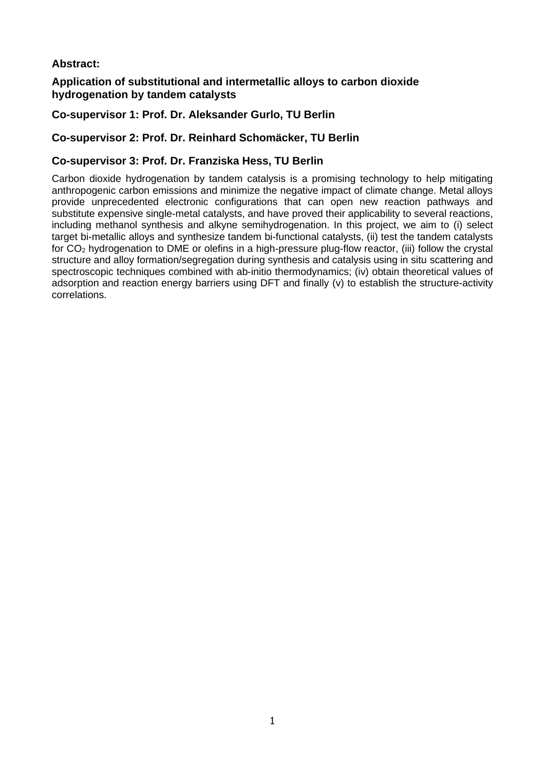# **Abstract:**

## **Application of substitutional and intermetallic alloys to carbon dioxide hydrogenation by tandem catalysts**

# **Co-supervisor 1: Prof. Dr. Aleksander Gurlo, TU Berlin**

## **Co-supervisor 2: Prof. Dr. Reinhard Schomäcker, TU Berlin**

## **Co-supervisor 3: Prof. Dr. Franziska Hess, TU Berlin**

Carbon dioxide hydrogenation by tandem catalysis is a promising technology to help mitigating anthropogenic carbon emissions and minimize the negative impact of climate change. Metal alloys provide unprecedented electronic configurations that can open new reaction pathways and substitute expensive single-metal catalysts, and have proved their applicability to several reactions, including methanol synthesis and alkyne semihydrogenation. In this project, we aim to (i) select target bi-metallic alloys and synthesize tandem bi-functional catalysts, (ii) test the tandem catalysts for CO<sup>2</sup> hydrogenation to DME or olefins in a high-pressure plug-flow reactor, (iii) follow the crystal structure and alloy formation/segregation during synthesis and catalysis using in situ scattering and spectroscopic techniques combined with ab-initio thermodynamics; (iv) obtain theoretical values of adsorption and reaction energy barriers using DFT and finally (v) to establish the structure-activity correlations.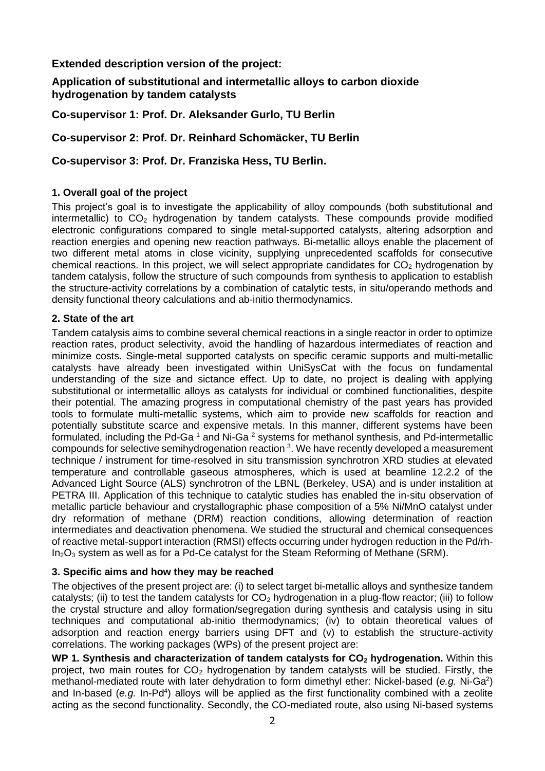## **Extended description version of the project:**

### **Application of substitutional and intermetallic alloys to carbon dioxide hydrogenation by tandem catalysts**

**Co-supervisor 1: Prof. Dr. Aleksander Gurlo, TU Berlin**

## **Co-supervisor 2: Prof. Dr. Reinhard Schomäcker, TU Berlin**

#### **Co-supervisor 3: Prof. Dr. Franziska Hess, TU Berlin.**

#### **1. Overall goal of the project**

This project's goal is to investigate the applicability of alloy compounds (both substitutional and intermetallic) to  $CO<sub>2</sub>$  hydrogenation by tandem catalysts. These compounds provide modified electronic configurations compared to single metal-supported catalysts, altering adsorption and reaction energies and opening new reaction pathways. Bi-metallic alloys enable the placement of two different metal atoms in close vicinity, supplying unprecedented scaffolds for consecutive chemical reactions. In this project, we will select appropriate candidates for  $CO<sub>2</sub>$  hydrogenation by tandem catalysis, follow the structure of such compounds from synthesis to application to establish the structure-activity correlations by a combination of catalytic tests, in situ/operando methods and density functional theory calculations and ab-initio thermodynamics.

#### **2. State of the art**

Tandem catalysis aims to combine several chemical reactions in a single reactor in order to optimize reaction rates, product selectivity, avoid the handling of hazardous intermediates of reaction and minimize costs. Single-metal supported catalysts on specific ceramic supports and multi-metallic catalysts have already been investigated within UniSysCat with the focus on fundamental understanding of the size and sictance effect. Up to date, no project is dealing with applying substitutional or intermetallic alloys as catalysts for individual or combined functionalities, despite their potential. The amazing progress in computational chemistry of the past years has provided tools to formulate multi-metallic systems, which aim to provide new scaffolds for reaction and potentially substitute scarce and expensive metals. In this manner, different systems have been formulated, including the Pd-Ga<sup>1</sup> and Ni-Ga<sup>2</sup> systems for methanol synthesis, and Pd-intermetallic compounds for selective semihydrogenation reaction <sup>3</sup>. We have recently developed a measurement technique / instrument for time-resolved in situ transmission synchrotron XRD studies at elevated temperature and controllable gaseous atmospheres, which is used at beamline 12.2.2 of the Advanced Light Source (ALS) synchrotron of the LBNL (Berkeley, USA) and is under instalition at PETRA III. Application of this technique to catalytic studies has enabled the in-situ observation of metallic particle behaviour and crystallographic phase composition of a 5% Ni/MnO catalyst under dry reformation of methane (DRM) reaction conditions, allowing determination of reaction intermediates and deactivation phenomena. We studied the structural and chemical consequences of reactive metal-support interaction (RMSI) effects occurring under hydrogen reduction in the Pd/rh- $In_2O_3$  system as well as for a Pd-Ce catalyst for the Steam Reforming of Methane (SRM).

#### **3. Specific aims and how they may be reached**

The objectives of the present project are: (i) to select target bi-metallic alloys and synthesize tandem catalysts; (ii) to test the tandem catalysts for  $CO<sub>2</sub>$  hydrogenation in a plug-flow reactor; (iii) to follow the crystal structure and alloy formation/segregation during synthesis and catalysis using in situ techniques and computational ab-initio thermodynamics; (iv) to obtain theoretical values of adsorption and reaction energy barriers using DFT and (v) to establish the structure-activity correlations. The working packages (WPs) of the present project are:

**WP 1. Synthesis and characterization of tandem catalysts for CO<sup>2</sup> hydrogenation.** Within this project, two main routes for  $CO<sub>2</sub>$  hydrogenation by tandem catalysts will be studied. Firstly, the methanol-mediated route with later dehydration to form dimethyl ether: Nickel-based (e.g. Ni-Ga<sup>2</sup>) and In-based (e.g. In-Pd<sup>4</sup>) alloys will be applied as the first functionality combined with a zeolite acting as the second functionality. Secondly, the CO-mediated route, also using Ni-based systems